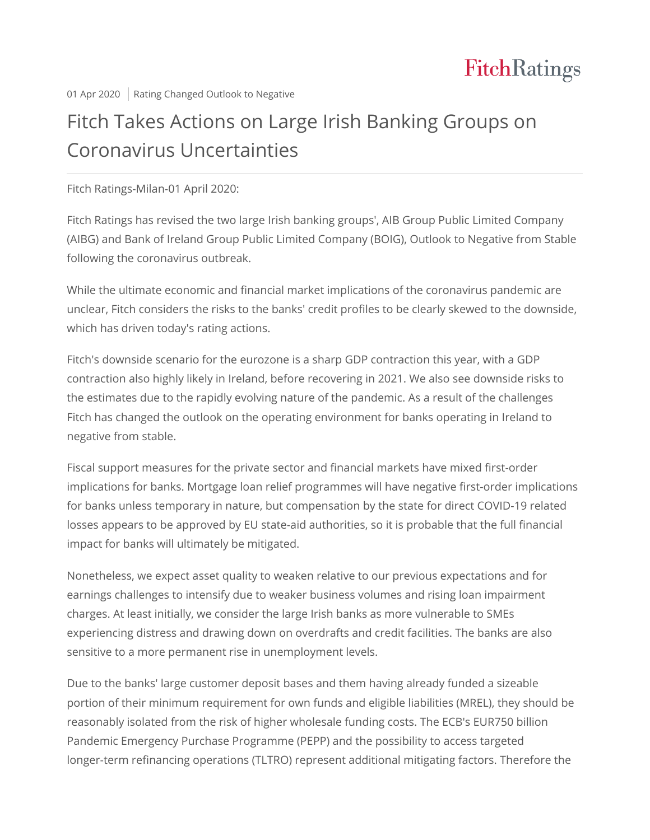# Fitch Takes Actions on Large Irish Banking Groups on Coronavirus Uncertainties

Fitch Ratings-Milan-01 April 2020:

Fitch Ratings has revised the two large Irish banking groups', AIB Group Public Limited Company (AIBG) and Bank of Ireland Group Public Limited Company (BOIG), Outlook to Negative from Stable following the coronavirus outbreak.

While the ultimate economic and financial market implications of the coronavirus pandemic are unclear, Fitch considers the risks to the banks' credit profiles to be clearly skewed to the downside, which has driven today's rating actions.

Fitch's downside scenario for the eurozone is a sharp GDP contraction this year, with a GDP contraction also highly likely in Ireland, before recovering in 2021. We also see downside risks to the estimates due to the rapidly evolving nature of the pandemic. As a result of the challenges Fitch has changed the outlook on the operating environment for banks operating in Ireland to negative from stable.

Fiscal support measures for the private sector and financial markets have mixed first-order implications for banks. Mortgage loan relief programmes will have negative first-order implications for banks unless temporary in nature, but compensation by the state for direct COVID-19 related losses appears to be approved by EU state-aid authorities, so it is probable that the full financial impact for banks will ultimately be mitigated.

Nonetheless, we expect asset quality to weaken relative to our previous expectations and for earnings challenges to intensify due to weaker business volumes and rising loan impairment charges. At least initially, we consider the large Irish banks as more vulnerable to SMEs experiencing distress and drawing down on overdrafts and credit facilities. The banks are also sensitive to a more permanent rise in unemployment levels.

Due to the banks' large customer deposit bases and them having already funded a sizeable portion of their minimum requirement for own funds and eligible liabilities (MREL), they should be reasonably isolated from the risk of higher wholesale funding costs. The ECB's EUR750 billion Pandemic Emergency Purchase Programme (PEPP) and the possibility to access targeted longer-term refinancing operations (TLTRO) represent additional mitigating factors. Therefore the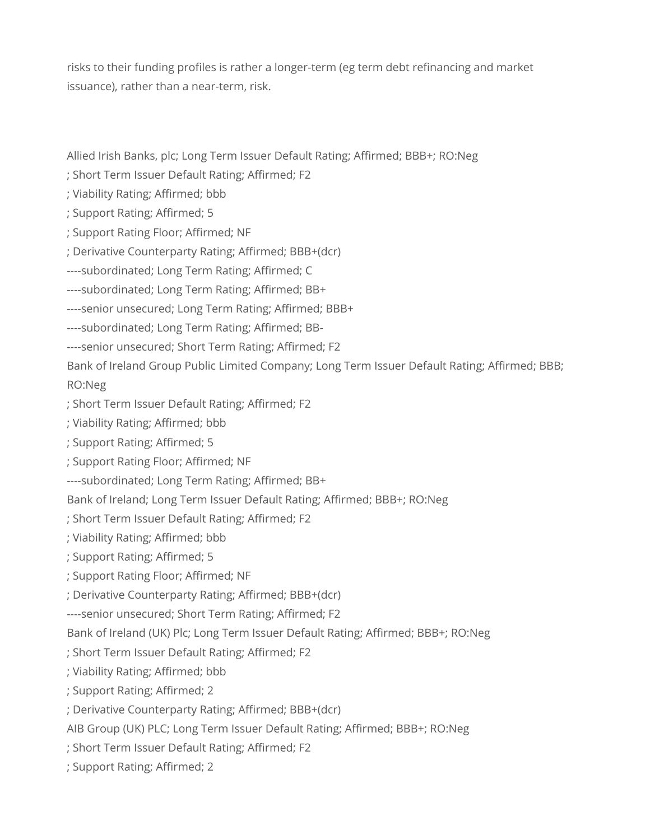risks to their funding profiles is rather a longer-term (eg term debt refinancing and market issuance), rather than a near-term, risk.

- Allied Irish Banks, plc; Long Term Issuer Default Rating; Affirmed; BBB+; RO:Neg
- ; Short Term Issuer Default Rating; Affirmed; F2
- ; Viability Rating; Affirmed; bbb
- ; Support Rating; Affirmed; 5
- ; Support Rating Floor; Affirmed; NF
- ; Derivative Counterparty Rating; Affirmed; BBB+(dcr)
- ----subordinated; Long Term Rating; Affirmed; C
- ----subordinated; Long Term Rating; Affirmed; BB+
- ----senior unsecured; Long Term Rating; Affirmed; BBB+
- ----subordinated; Long Term Rating; Affirmed; BB-
- ----senior unsecured; Short Term Rating; Affirmed; F2
- Bank of Ireland Group Public Limited Company; Long Term Issuer Default Rating; Affirmed; BBB; RO:Neg
- ; Short Term Issuer Default Rating; Affirmed; F2
- ; Viability Rating; Affirmed; bbb
- ; Support Rating; Affirmed; 5
- ; Support Rating Floor; Affirmed; NF
- ----subordinated; Long Term Rating; Affirmed; BB+
- Bank of Ireland; Long Term Issuer Default Rating; Affirmed; BBB+; RO:Neg
- ; Short Term Issuer Default Rating; Affirmed; F2
- ; Viability Rating; Affirmed; bbb
- ; Support Rating; Affirmed; 5
- ; Support Rating Floor; Affirmed; NF
- ; Derivative Counterparty Rating; Affirmed; BBB+(dcr)
- ----senior unsecured; Short Term Rating; Affirmed; F2
- Bank of Ireland (UK) Plc; Long Term Issuer Default Rating; Affirmed; BBB+; RO:Neg
- ; Short Term Issuer Default Rating; Affirmed; F2
- ; Viability Rating; Affirmed; bbb
- ; Support Rating; Affirmed; 2
- ; Derivative Counterparty Rating; Affirmed; BBB+(dcr)
- AIB Group (UK) PLC; Long Term Issuer Default Rating; Affirmed; BBB+; RO:Neg
- ; Short Term Issuer Default Rating; Affirmed; F2
- ; Support Rating; Affirmed; 2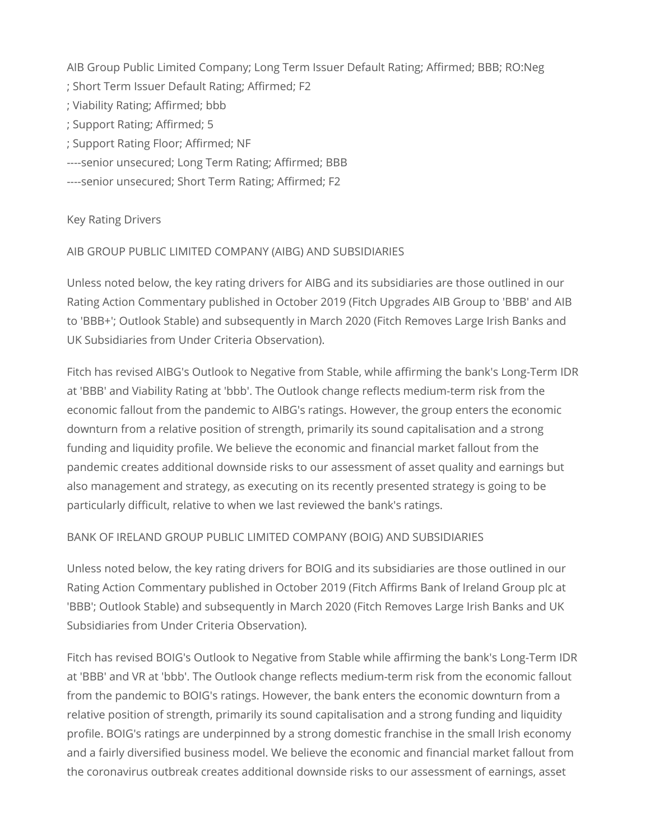AIB Group Public Limited Company; Long Term Issuer Default Rating; Affirmed; BBB; RO:Neg ; Short Term Issuer Default Rating; Affirmed; F2 ; Viability Rating; Affirmed; bbb ; Support Rating; Affirmed; 5 ; Support Rating Floor; Affirmed; NF ----senior unsecured; Long Term Rating; Affirmed; BBB ----senior unsecured; Short Term Rating; Affirmed; F2

#### Key Rating Drivers

### AIB GROUP PUBLIC LIMITED COMPANY (AIBG) AND SUBSIDIARIES

Unless noted below, the key rating drivers for AIBG and its subsidiaries are those outlined in our Rating Action Commentary published in October 2019 (Fitch Upgrades AIB Group to 'BBB' and AIB to 'BBB+'; Outlook Stable) and subsequently in March 2020 (Fitch Removes Large Irish Banks and UK Subsidiaries from Under Criteria Observation).

Fitch has revised AIBG's Outlook to Negative from Stable, while affirming the bank's Long-Term IDR at 'BBB' and Viability Rating at 'bbb'. The Outlook change reflects medium-term risk from the economic fallout from the pandemic to AIBG's ratings. However, the group enters the economic downturn from a relative position of strength, primarily its sound capitalisation and a strong funding and liquidity profile. We believe the economic and financial market fallout from the pandemic creates additional downside risks to our assessment of asset quality and earnings but also management and strategy, as executing on its recently presented strategy is going to be particularly difficult, relative to when we last reviewed the bank's ratings.

#### BANK OF IRELAND GROUP PUBLIC LIMITED COMPANY (BOIG) AND SUBSIDIARIES

Unless noted below, the key rating drivers for BOIG and its subsidiaries are those outlined in our Rating Action Commentary published in October 2019 (Fitch Affirms Bank of Ireland Group plc at 'BBB'; Outlook Stable) and subsequently in March 2020 (Fitch Removes Large Irish Banks and UK Subsidiaries from Under Criteria Observation).

Fitch has revised BOIG's Outlook to Negative from Stable while affirming the bank's Long-Term IDR at 'BBB' and VR at 'bbb'. The Outlook change reflects medium-term risk from the economic fallout from the pandemic to BOIG's ratings. However, the bank enters the economic downturn from a relative position of strength, primarily its sound capitalisation and a strong funding and liquidity profile. BOIG's ratings are underpinned by a strong domestic franchise in the small Irish economy and a fairly diversified business model. We believe the economic and financial market fallout from the coronavirus outbreak creates additional downside risks to our assessment of earnings, asset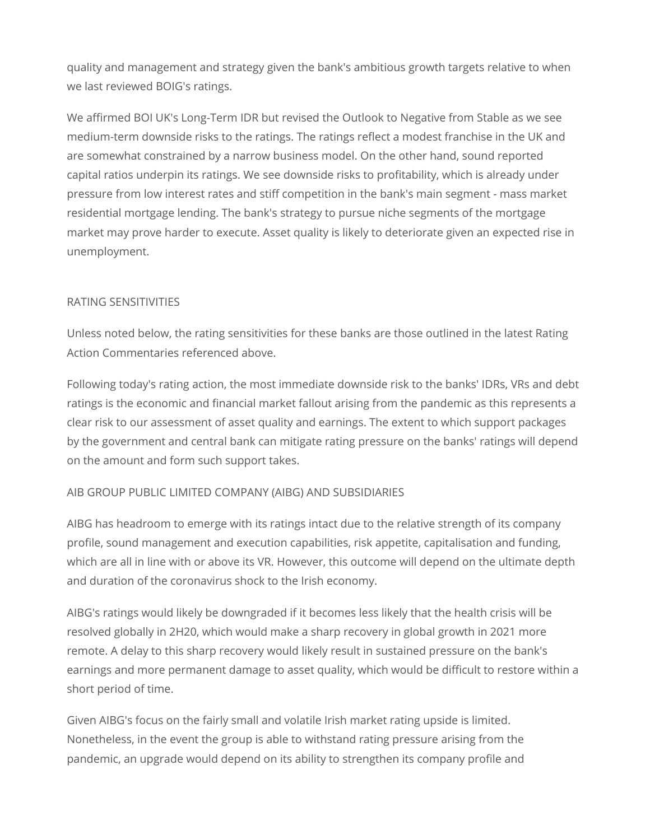quality and management and strategy given the bank's ambitious growth targets relative to when we last reviewed BOIG's ratings.

We affirmed BOI UK's Long-Term IDR but revised the Outlook to Negative from Stable as we see medium-term downside risks to the ratings. The ratings reflect a modest franchise in the UK and are somewhat constrained by a narrow business model. On the other hand, sound reported capital ratios underpin its ratings. We see downside risks to profitability, which is already under pressure from low interest rates and stiff competition in the bank's main segment - mass market residential mortgage lending. The bank's strategy to pursue niche segments of the mortgage market may prove harder to execute. Asset quality is likely to deteriorate given an expected rise in unemployment.

#### RATING SENSITIVITIES

Unless noted below, the rating sensitivities for these banks are those outlined in the latest Rating Action Commentaries referenced above.

Following today's rating action, the most immediate downside risk to the banks' IDRs, VRs and debt ratings is the economic and financial market fallout arising from the pandemic as this represents a clear risk to our assessment of asset quality and earnings. The extent to which support packages by the government and central bank can mitigate rating pressure on the banks' ratings will depend on the amount and form such support takes.

#### AIB GROUP PUBLIC LIMITED COMPANY (AIBG) AND SUBSIDIARIES

AIBG has headroom to emerge with its ratings intact due to the relative strength of its company profile, sound management and execution capabilities, risk appetite, capitalisation and funding, which are all in line with or above its VR. However, this outcome will depend on the ultimate depth and duration of the coronavirus shock to the Irish economy.

AIBG's ratings would likely be downgraded if it becomes less likely that the health crisis will be resolved globally in 2H20, which would make a sharp recovery in global growth in 2021 more remote. A delay to this sharp recovery would likely result in sustained pressure on the bank's earnings and more permanent damage to asset quality, which would be difficult to restore within a short period of time.

Given AIBG's focus on the fairly small and volatile Irish market rating upside is limited. Nonetheless, in the event the group is able to withstand rating pressure arising from the pandemic, an upgrade would depend on its ability to strengthen its company profile and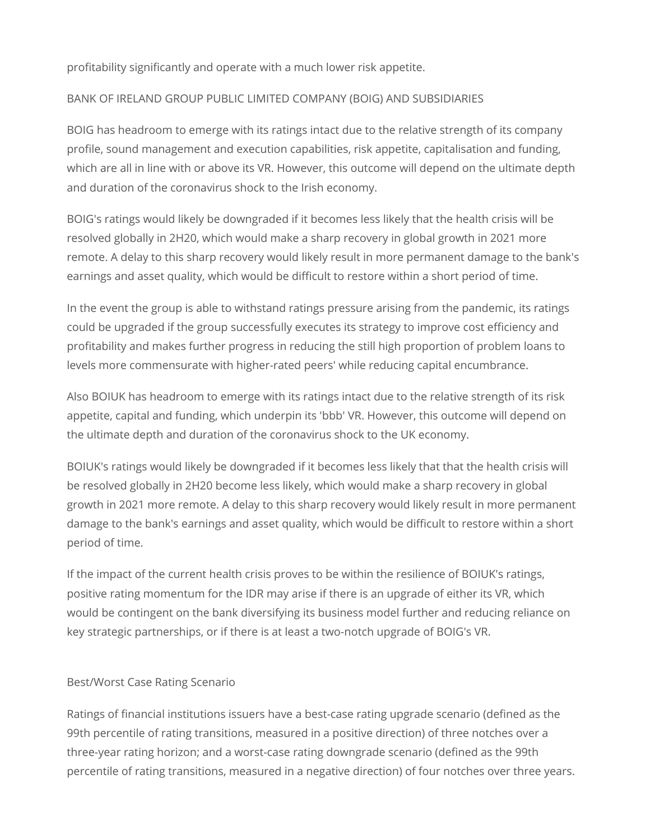profitability significantly and operate with a much lower risk appetite.

#### BANK OF IRELAND GROUP PUBLIC LIMITED COMPANY (BOIG) AND SUBSIDIARIES

BOIG has headroom to emerge with its ratings intact due to the relative strength of its company profile, sound management and execution capabilities, risk appetite, capitalisation and funding, which are all in line with or above its VR. However, this outcome will depend on the ultimate depth and duration of the coronavirus shock to the Irish economy.

BOIG's ratings would likely be downgraded if it becomes less likely that the health crisis will be resolved globally in 2H20, which would make a sharp recovery in global growth in 2021 more remote. A delay to this sharp recovery would likely result in more permanent damage to the bank's earnings and asset quality, which would be difficult to restore within a short period of time.

In the event the group is able to withstand ratings pressure arising from the pandemic, its ratings could be upgraded if the group successfully executes its strategy to improve cost efficiency and profitability and makes further progress in reducing the still high proportion of problem loans to levels more commensurate with higher-rated peers' while reducing capital encumbrance.

Also BOIUK has headroom to emerge with its ratings intact due to the relative strength of its risk appetite, capital and funding, which underpin its 'bbb' VR. However, this outcome will depend on the ultimate depth and duration of the coronavirus shock to the UK economy.

BOIUK's ratings would likely be downgraded if it becomes less likely that that the health crisis will be resolved globally in 2H20 become less likely, which would make a sharp recovery in global growth in 2021 more remote. A delay to this sharp recovery would likely result in more permanent damage to the bank's earnings and asset quality, which would be difficult to restore within a short period of time.

If the impact of the current health crisis proves to be within the resilience of BOIUK's ratings, positive rating momentum for the IDR may arise if there is an upgrade of either its VR, which would be contingent on the bank diversifying its business model further and reducing reliance on key strategic partnerships, or if there is at least a two-notch upgrade of BOIG's VR.

#### Best/Worst Case Rating Scenario

Ratings of financial institutions issuers have a best-case rating upgrade scenario (defined as the 99th percentile of rating transitions, measured in a positive direction) of three notches over a three-year rating horizon; and a worst-case rating downgrade scenario (defined as the 99th percentile of rating transitions, measured in a negative direction) of four notches over three years.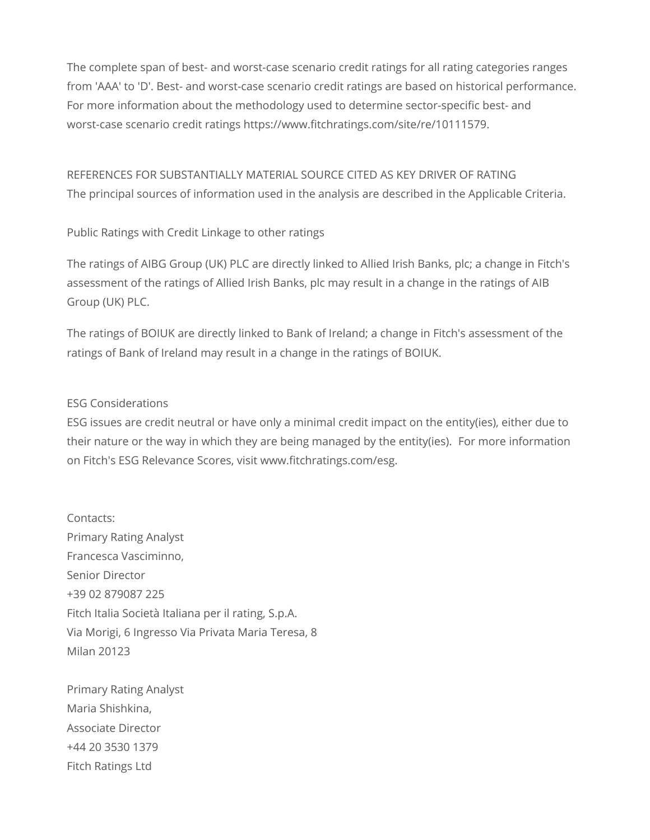The complete span of best- and worst-case scenario credit ratings for all rating categories ranges from 'AAA' to 'D'. Best- and worst-case scenario credit ratings are based on historical performance. For more information about the methodology used to determine sector-specific best- and worst-case scenario credit ratings https://www.fitchratings.com/site/re/10111579.

## REFERENCES FOR SUBSTANTIALLY MATERIAL SOURCE CITED AS KEY DRIVER OF RATING The principal sources of information used in the analysis are described in the Applicable Criteria.

Public Ratings with Credit Linkage to other ratings

The ratings of AIBG Group (UK) PLC are directly linked to Allied Irish Banks, plc; a change in Fitch's assessment of the ratings of Allied Irish Banks, plc may result in a change in the ratings of AIB Group (UK) PLC.

The ratings of BOIUK are directly linked to Bank of Ireland; a change in Fitch's assessment of the ratings of Bank of Ireland may result in a change in the ratings of BOIUK.

### ESG Considerations

ESG issues are credit neutral or have only a minimal credit impact on the entity(ies), either due to their nature or the way in which they are being managed by the entity(ies). For more information on Fitch's ESG Relevance Scores, visit www.fitchratings.com/esg.

Contacts: Primary Rating Analyst Francesca Vasciminno, Senior Director +39 02 879087 225 Fitch Italia Società Italiana per il rating, S.p.A. Via Morigi, 6 Ingresso Via Privata Maria Teresa, 8 Milan 20123

Primary Rating Analyst Maria Shishkina, Associate Director +44 20 3530 1379 Fitch Ratings Ltd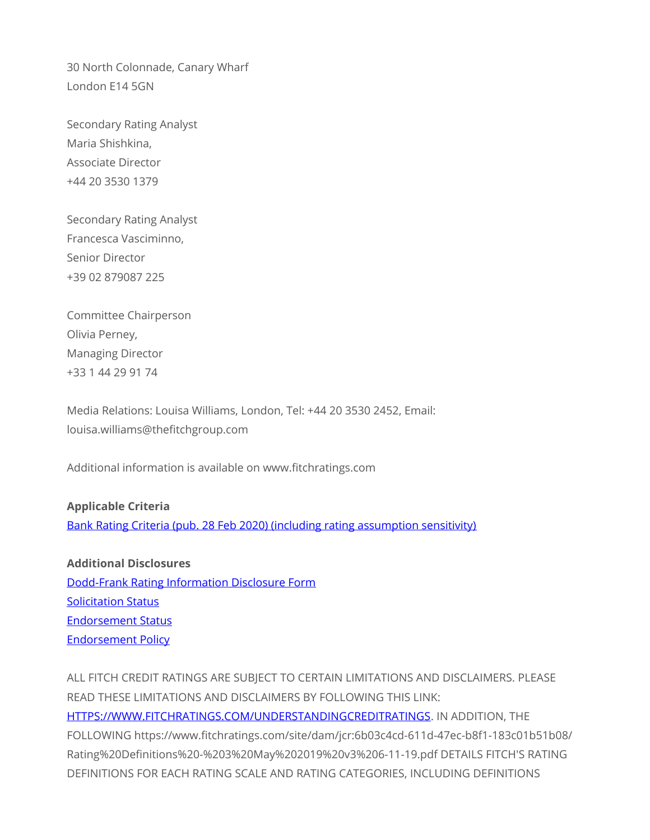30 North Colonnade, Canary Wharf London E14 5GN

Secondary Rating Analyst Maria Shishkina, Associate Director +44 20 3530 1379

Secondary Rating Analyst Francesca Vasciminno, Senior Director +39 02 879087 225

Committee Chairperson Olivia Perney, Managing Director +33 1 44 29 91 74

Media Relations: Louisa Williams, London, Tel: +44 20 3530 2452, Email: louisa.williams@thefitchgroup.com

Additional information is available on www.fitchratings.com

#### **Applicable Criteria**

[Bank Rating Criteria \(pub. 28 Feb 2020\) \(including rating assumption sensitivity\)](/app.fitchconnect.com/search/research/article/RPT_10110041)

**Additional Disclosures** [Dodd-Frank Rating Information Disclosure Form](https://www.fitchratings.com/site/dodd-frank-disclosure/10116341) [Solicitation Status](https://www.fitchratings.com/site/pr/10116341#solicitation) [Endorsement Status](/app.fitchconnect.com/search/research/article/PR_10116341#endorsement_status) [Endorsement Policy](https://www.fitchratings.com/regulatory)

ALL FITCH CREDIT RATINGS ARE SUBJECT TO CERTAIN LIMITATIONS AND DISCLAIMERS. PLEASE READ THESE LIMITATIONS AND DISCLAIMERS BY FOLLOWING THIS LINK: [HTTPS://WWW.FITCHRATINGS.COM/UNDERSTANDINGCREDITRATINGS.](https://www.fitchratings.com/UNDERSTANDINGCREDITRATINGS) IN ADDITION, THE FOLLOWING https://www.fitchratings.com/site/dam/jcr:6b03c4cd-611d-47ec-b8f1-183c01b51b08/ Rating%20Definitions%20-%203%20May%202019%20v3%206-11-19.pdf DETAILS FITCH'S RATING DEFINITIONS FOR EACH RATING SCALE AND RATING CATEGORIES, INCLUDING DEFINITIONS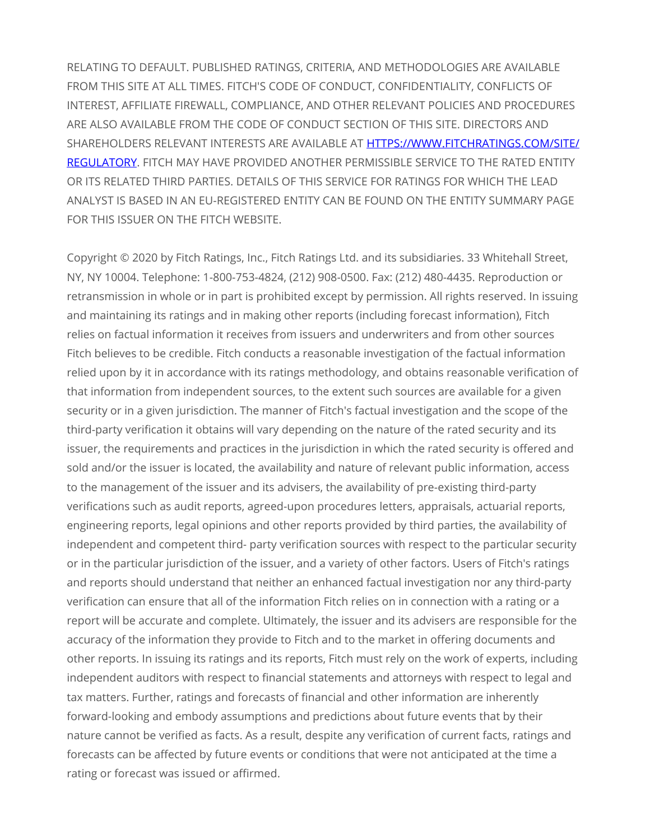RELATING TO DEFAULT. PUBLISHED RATINGS, CRITERIA, AND METHODOLOGIES ARE AVAILABLE FROM THIS SITE AT ALL TIMES. FITCH'S CODE OF CONDUCT, CONFIDENTIALITY, CONFLICTS OF INTEREST, AFFILIATE FIREWALL, COMPLIANCE, AND OTHER RELEVANT POLICIES AND PROCEDURES ARE ALSO AVAILABLE FROM THE CODE OF CONDUCT SECTION OF THIS SITE. DIRECTORS AND SHAREHOLDERS RELEVANT INTERESTS ARE AVAILABLE AT [HTTPS://WWW.FITCHRATINGS.COM/SITE/](https://www.fitchratings.com/site/regulatory) [REGULATORY](https://www.fitchratings.com/site/regulatory). FITCH MAY HAVE PROVIDED ANOTHER PERMISSIBLE SERVICE TO THE RATED ENTITY OR ITS RELATED THIRD PARTIES. DETAILS OF THIS SERVICE FOR RATINGS FOR WHICH THE LEAD ANALYST IS BASED IN AN EU-REGISTERED ENTITY CAN BE FOUND ON THE ENTITY SUMMARY PAGE FOR THIS ISSUER ON THE FITCH WEBSITE.

Copyright © 2020 by Fitch Ratings, Inc., Fitch Ratings Ltd. and its subsidiaries. 33 Whitehall Street, NY, NY 10004. Telephone: 1-800-753-4824, (212) 908-0500. Fax: (212) 480-4435. Reproduction or retransmission in whole or in part is prohibited except by permission. All rights reserved. In issuing and maintaining its ratings and in making other reports (including forecast information), Fitch relies on factual information it receives from issuers and underwriters and from other sources Fitch believes to be credible. Fitch conducts a reasonable investigation of the factual information relied upon by it in accordance with its ratings methodology, and obtains reasonable verification of that information from independent sources, to the extent such sources are available for a given security or in a given jurisdiction. The manner of Fitch's factual investigation and the scope of the third-party verification it obtains will vary depending on the nature of the rated security and its issuer, the requirements and practices in the jurisdiction in which the rated security is offered and sold and/or the issuer is located, the availability and nature of relevant public information, access to the management of the issuer and its advisers, the availability of pre-existing third-party verifications such as audit reports, agreed-upon procedures letters, appraisals, actuarial reports, engineering reports, legal opinions and other reports provided by third parties, the availability of independent and competent third- party verification sources with respect to the particular security or in the particular jurisdiction of the issuer, and a variety of other factors. Users of Fitch's ratings and reports should understand that neither an enhanced factual investigation nor any third-party verification can ensure that all of the information Fitch relies on in connection with a rating or a report will be accurate and complete. Ultimately, the issuer and its advisers are responsible for the accuracy of the information they provide to Fitch and to the market in offering documents and other reports. In issuing its ratings and its reports, Fitch must rely on the work of experts, including independent auditors with respect to financial statements and attorneys with respect to legal and tax matters. Further, ratings and forecasts of financial and other information are inherently forward-looking and embody assumptions and predictions about future events that by their nature cannot be verified as facts. As a result, despite any verification of current facts, ratings and forecasts can be affected by future events or conditions that were not anticipated at the time a rating or forecast was issued or affirmed.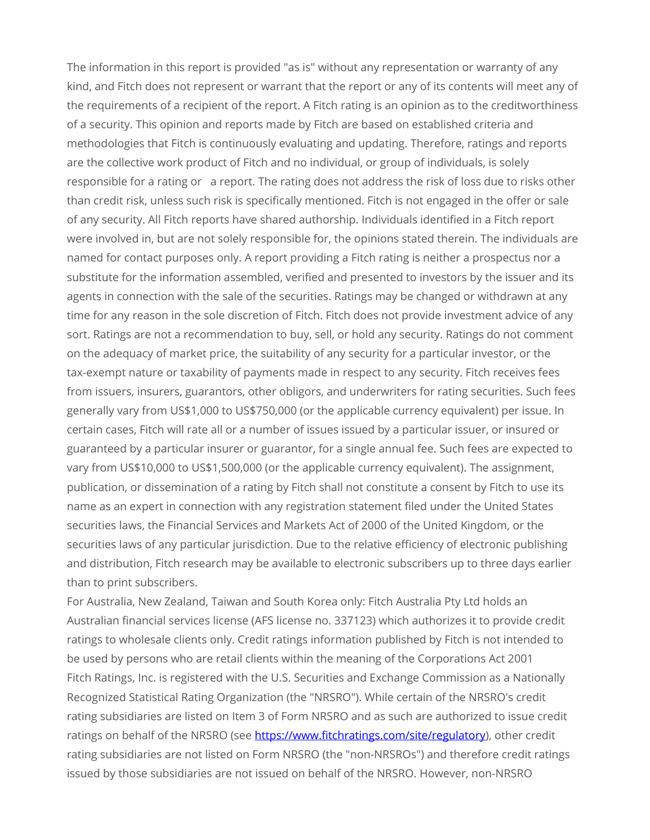The information in this report is provided "as is" without any representation or warranty of any kind, and Fitch does not represent or warrant that the report or any of its contents will meet any of the requirements of a recipient of the report. A Fitch rating is an opinion as to the creditworthiness of a security. This opinion and reports made by Fitch are based on established criteria and methodologies that Fitch is continuously evaluating and updating. Therefore, ratings and reports are the collective work product of Fitch and no individual, or group of individuals, is solely responsible for a rating or a report. The rating does not address the risk of loss due to risks other than credit risk, unless such risk is specifically mentioned. Fitch is not engaged in the offer or sale of any security. All Fitch reports have shared authorship. Individuals identified in a Fitch report were involved in, but are not solely responsible for, the opinions stated therein. The individuals are named for contact purposes only. A report providing a Fitch rating is neither a prospectus nor a substitute for the information assembled, verified and presented to investors by the issuer and its agents in connection with the sale of the securities. Ratings may be changed or withdrawn at any time for any reason in the sole discretion of Fitch. Fitch does not provide investment advice of any sort. Ratings are not a recommendation to buy, sell, or hold any security. Ratings do not comment on the adequacy of market price, the suitability of any security for a particular investor, or the tax-exempt nature or taxability of payments made in respect to any security. Fitch receives fees from issuers, insurers, guarantors, other obligors, and underwriters for rating securities. Such fees generally vary from US\$1,000 to US\$750,000 (or the applicable currency equivalent) per issue. In certain cases, Fitch will rate all or a number of issues issued by a particular issuer, or insured or guaranteed by a particular insurer or guarantor, for a single annual fee. Such fees are expected to vary from US\$10,000 to US\$1,500,000 (or the applicable currency equivalent). The assignment, publication, or dissemination of a rating by Fitch shall not constitute a consent by Fitch to use its name as an expert in connection with any registration statement filed under the United States securities laws, the Financial Services and Markets Act of 2000 of the United Kingdom, or the securities laws of any particular jurisdiction. Due to the relative efficiency of electronic publishing and distribution, Fitch research may be available to electronic subscribers up to three days earlier than to print subscribers.

For Australia, New Zealand, Taiwan and South Korea only: Fitch Australia Pty Ltd holds an Australian financial services license (AFS license no. 337123) which authorizes it to provide credit ratings to wholesale clients only. Credit ratings information published by Fitch is not intended to be used by persons who are retail clients within the meaning of the Corporations Act 2001 Fitch Ratings, Inc. is registered with the U.S. Securities and Exchange Commission as a Nationally Recognized Statistical Rating Organization (the "NRSRO"). While certain of the NRSRO's credit rating subsidiaries are listed on Item 3 of Form NRSRO and as such are authorized to issue credit ratings on behalf of the NRSRO (see [https://www.fitchratings.com/site/regulatory\)](https://www.fitchratings.com/site/regulatory), other credit rating subsidiaries are not listed on Form NRSRO (the "non-NRSROs") and therefore credit ratings issued by those subsidiaries are not issued on behalf of the NRSRO. However, non-NRSRO